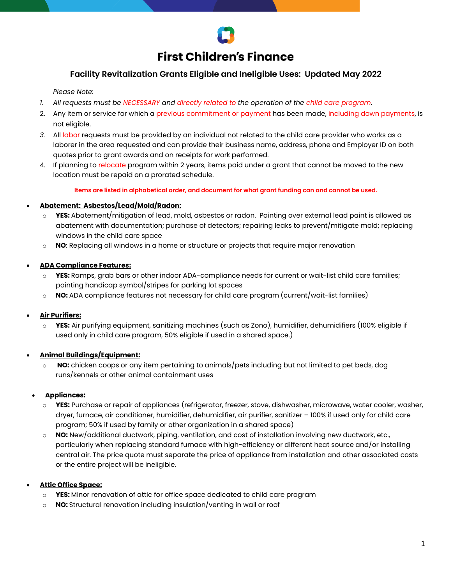# **First Children's Finance**

# **Facility Revitalization Grants Eligible and Ineligible Uses: Updated May 2022**

#### *Please Note:*

- *1. All requests must be NECESSARY and directly related to the operation of the child care program.*
- 2. Any item or service for which a previous commitment or payment has been made, including down payments, is not eligible.
- *3.* All labor requests must be provided by an individual not related to the child care provider who works as a laborer in the area requested and can provide their business name, address, phone and Employer ID on both quotes prior to grant awards and on receipts for work performed.
- 4. If planning to relocate program within 2 years, items paid under a grant that cannot be moved to the new location must be repaid on a prorated schedule.

**Items are listed in alphabetical order, and document for what grant funding can and cannot be used.** 

#### • **Abatement: Asbestos/Lead/Mold/Radon:**

- **YES:** Abatement/mitigation of lead, mold, asbestos or radon. Painting over external lead paint is allowed as abatement with documentation; purchase of detectors; repairing leaks to prevent/mitigate mold; replacing windows in the child care space
- o **NO**: Replacing all windows in a home or structure or projects that require major renovation

#### • **ADA Compliance Features:**

- o **YES:** Ramps, grab bars or other indoor ADA-compliance needs for current or wait-list child care families; painting handicap symbol/stripes for parking lot spaces
- o **NO:** ADA compliance features not necessary for child care program (current/wait-list families)

#### • **Air Purifiers:**

o **YES:** Air purifying equipment, sanitizing machines (such as Zono), humidifier, dehumidifiers (100% eligible if used only in child care program, 50% eligible if used in a shared space.)

### • **Animal Buildings/Equipment:**

o **NO:** chicken coops or any item pertaining to animals/pets including but not limited to pet beds, dog runs/kennels or other animal containment uses

#### • **Appliances:**

- o **YES:** Purchase or repair of appliances (refrigerator, freezer, stove, dishwasher, microwave, water cooler, washer, dryer, furnace, air conditioner, humidifier, dehumidifier, air purifier, sanitizer – 100% if used only for child care program; 50% if used by family or other organization in a shared space)
- o **NO:** New/additional ductwork, piping, ventilation, and cost of installation involving new ductwork, etc., particularly when replacing standard furnace with high-efficiency or different heat source and/or installing central air. The price quote must separate the price of appliance from installation and other associated costs or the entire project will be ineligible.

### • **Attic Office Space:**

- o **YES:** Minor renovation of attic for office space dedicated to child care program
- **NO:** Structural renovation including insulation/venting in wall or roof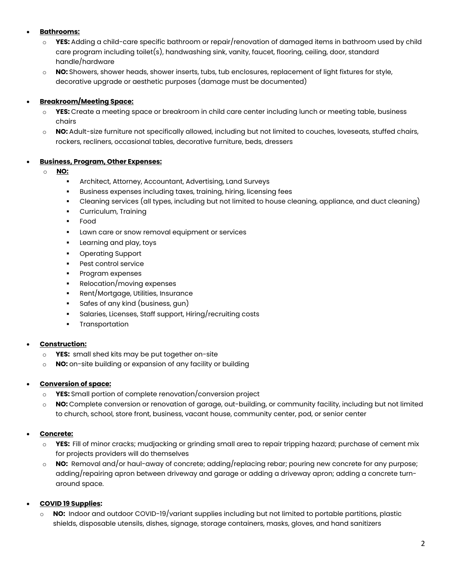### • **Bathrooms:**

- o **YES:** Adding a child-care specific bathroom or repair/renovation of damaged items in bathroom used by child care program including toilet(s), handwashing sink, vanity, faucet, flooring, ceiling, door, standard handle/hardware
- o **NO:** Showers, shower heads, shower inserts, tubs, tub enclosures, replacement of light fixtures for style, decorative upgrade or aesthetic purposes (damage must be documented)

### • **Breakroom/Meeting Space:**

- o **YES:** Create a meeting space or breakroom in child care center including lunch or meeting table, business chairs
- o **NO:** Adult-size furniture not specifically allowed, including but not limited to couches, loveseats, stuffed chairs, rockers, recliners, occasional tables, decorative furniture, beds, dressers

### • **Business, Program, Other Expenses:**

### o **NO:**

- Architect, Attorney, Accountant, Advertising, Land Surveys
- Business expenses including taxes, training, hiring, licensing fees
- Cleaning services (all types, including but not limited to house cleaning, appliance, and duct cleaning)
- Curriculum, Training
- Food
- **Lawn care or snow removal equipment or services**
- **Learning and play, toys**
- Operating Support
- **Pest control service**
- Program expenses
- Relocation/moving expenses
- Rent/Mortgage, Utilities, Insurance
- Safes of any kind (business, gun)
- Salaries, Licenses, Staff support, Hiring/recruiting costs
- **•** Transportation

### • **Construction:**

- o **YES:** small shed kits may be put together on-site
- o **NO:** on-site building or expansion of any facility or building

### • **Conversion of space:**

- o **YES:** Small portion of complete renovation/conversion project
- o **NO:** Complete conversion or renovation of garage, out-building, or community facility, including but not limited to church, school, store front, business, vacant house, community center, pod, or senior center

# • **Concrete:**

- o **YES:** Fill of minor cracks; mudjacking or grinding small area to repair tripping hazard; purchase of cement mix for projects providers will do themselves
- o **NO:** Removal and/or haul-away of concrete; adding/replacing rebar; pouring new concrete for any purpose; adding/repairing apron between driveway and garage or adding a driveway apron; adding a concrete turnaround space.

### • **COVID 19 Supplies:**

NO: Indoor and outdoor COVID-19/variant supplies including but not limited to portable partitions, plastic shields, disposable utensils, dishes, signage, storage containers, masks, gloves, and hand sanitizers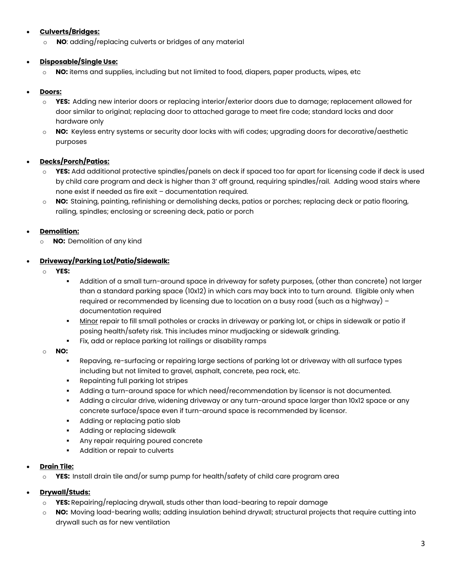# • **Culverts/Bridges:**

o **NO**: adding/replacing culverts or bridges of any material

### • **Disposable/Single Use:**

o **NO:** items and supplies, including but not limited to food, diapers, paper products, wipes, etc

### • **Doors:**

- o **YES:** Adding new interior doors or replacing interior/exterior doors due to damage; replacement allowed for door similar to original; replacing door to attached garage to meet fire code; standard locks and door hardware only
- o **NO:** Keyless entry systems or security door locks with wifi codes; upgrading doors for decorative/aesthetic purposes

### • **Decks/Porch/Patios:**

- o **YES:** Add additional protective spindles/panels on deck if spaced too far apart for licensing code if deck is used by child care program and deck is higher than 3' off ground, requiring spindles/rail. Adding wood stairs where none exist if needed as fire exit – documentation required.
- o **NO:** Staining, painting, refinishing or demolishing decks, patios or porches; replacing deck or patio flooring, railing, spindles; enclosing or screening deck, patio or porch

### • **Demolition:**

o **NO:** Demolition of any kind

### • **Driveway/Parking Lot/Patio/Sidewalk:**

- o **YES:**
	- Addition of a small turn-around space in driveway for safety purposes, (other than concrete) not larger than a standard parking space (10x12) in which cars may back into to turn around. Eligible only when required or recommended by licensing due to location on a busy road (such as a highway) – documentation required
	- Minor repair to fill small potholes or cracks in driveway or parking lot, or chips in sidewalk or patio if posing health/safety risk. This includes minor mudjacking or sidewalk grinding.
	- Fix, add or replace parking lot railings or disability ramps

### o **NO:**

- Repaving, re-surfacing or repairing large sections of parking lot or driveway with all surface types including but not limited to gravel, asphalt, concrete, pea rock, etc.
- **Repainting full parking lot stripes**
- Adding a turn-around space for which need/recommendation by licensor is not documented.
- Adding a circular drive, widening driveway or any turn-around space larger than 10x12 space or any concrete surface/space even if turn-around space is recommended by licensor.
- **Adding or replacing patio slab**
- **Adding or replacing sidewalk**
- **Any repair requiring poured concrete**
- **Addition or repair to culverts**

### • **Drain Tile:**

o **YES:** Install drain tile and/or sump pump for health/safety of child care program area

# • **Drywall/Studs:**

- o **YES:** Repairing/replacing drywall, studs other than load-bearing to repair damage
- o **NO:** Moving load-bearing walls; adding insulation behind drywall; structural projects that require cutting into drywall such as for new ventilation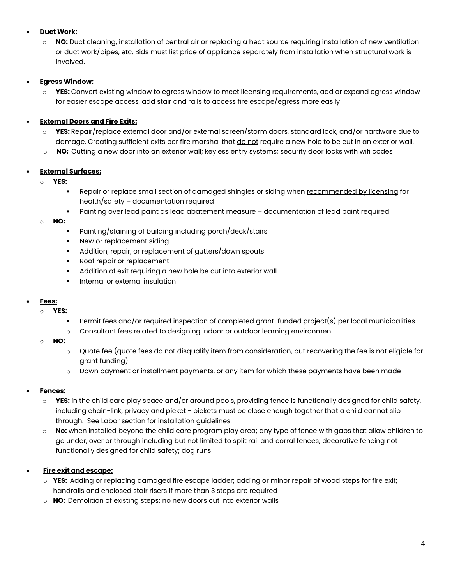### • **Duct Work:**

o **NO:** Duct cleaning, installation of central air or replacing a heat source requiring installation of new ventilation or duct work/pipes, etc. Bids must list price of appliance separately from installation when structural work is involved.

### • **Egress Window:**

o **YES:** Convert existing window to egress window to meet licensing requirements, add or expand egress window for easier escape access, add stair and rails to access fire escape/egress more easily

### • **External Doors and Fire Exits:**

- o **YES:** Repair/replace external door and/or external screen/storm doors, standard lock, and/or hardware due to damage. Creating sufficient exits per fire marshal that do not require a new hole to be cut in an exterior wall.
- o **NO:** Cutting a new door into an exterior wall; keyless entry systems; security door locks with wifi codes

#### • **External Surfaces:**

- o **YES:** 
	- Pepair or replace small section of damaged shingles or siding when recommended by licensing for health/safety – documentation required
	- Painting over lead paint as lead abatement measure documentation of lead paint required
- o **NO:** 
	- Painting/staining of building including porch/deck/stairs
	- New or replacement siding
	- Addition, repair, or replacement of gutters/down spouts
	- Roof repair or replacement
	- Addition of exit requiring a new hole be cut into exterior wall
	- Internal or external insulation

### • **Fees:**

- o **YES:**
	- Permit fees and/or required inspection of completed grant-funded project(s) per local municipalities
	- o Consultant fees related to designing indoor or outdoor learning environment
- o **NO:**
	- o Quote fee (quote fees do not disqualify item from consideration, but recovering the fee is not eligible for grant funding)
	- $\circ$  Down payment or installment payments, or any item for which these payments have been made

### • **Fences:**

- o **YES:** in the child care play space and/or around pools, providing fence is functionally designed for child safety, including chain-link, privacy and picket - pickets must be close enough together that a child cannot slip through. See Labor section for installation guidelines.
- o **No:** when installed beyond the child care program play area; any type of fence with gaps that allow children to go under, over or through including but not limited to split rail and corral fences; decorative fencing not functionally designed for child safety; dog runs

### • **Fire exit and escape:**

- o **YES:** Adding or replacing damaged fire escape ladder; adding or minor repair of wood steps for fire exit; handrails and enclosed stair risers if more than 3 steps are required
- o **NO:** Demolition of existing steps; no new doors cut into exterior walls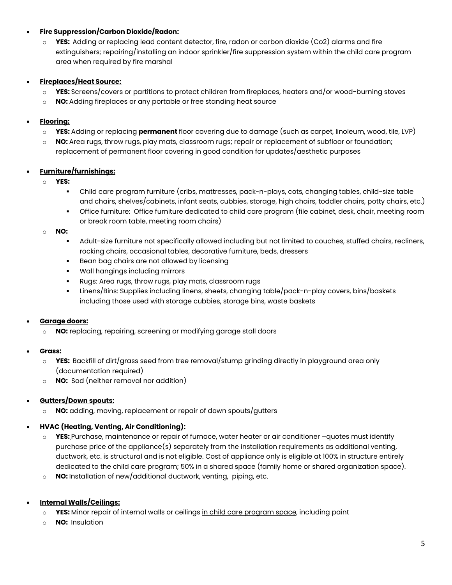# • **Fire Suppression/Carbon Dioxide/Radon:**

o **YES:** Adding or replacing lead content detector, fire, radon or carbon dioxide (Co2) alarms and fire extinguishers; repairing/installing an indoor sprinkler/fire suppression system within the child care program area when required by fire marshal

# • **Fireplaces/Heat Source:**

- o **YES:** Screens/covers or partitions to protect children from fireplaces, heaters and/or wood-burning stoves
- o **NO:** Adding fireplaces or any portable or free standing heat source

# • **Flooring:**

- o **YES:** Adding or replacing **permanent** floor covering due to damage (such as carpet, linoleum, wood, tile, LVP)
- o **NO:** Area rugs, throw rugs, play mats, classroom rugs; repair or replacement of subfloor or foundation; replacement of permanent floor covering in good condition for updates/aesthetic purposes

# • **Furniture/furnishings:**

- o **YES:** 
	- Child care program furniture (cribs, mattresses, pack-n-plays, cots, changing tables, child-size table and chairs, shelves/cabinets, infant seats, cubbies, storage, high chairs, toddler chairs, potty chairs, etc.)
	- Office furniture: Office furniture dedicated to child care program (file cabinet, desk, chair, meeting room or break room table, meeting room chairs)

o **NO:** 

- Adult-size furniture not specifically allowed including but not limited to couches, stuffed chairs, recliners, rocking chairs, occasional tables, decorative furniture, beds, dressers
- Bean bag chairs are not allowed by licensing
- Wall hangings including mirrors
- Rugs: Area rugs, throw rugs, play mats, classroom rugs
- Linens/Bins: Supplies including linens, sheets, changing table/pack-n-play covers, bins/baskets including those used with storage cubbies, storage bins, waste baskets

# • **Garage doors:**

- o **NO:** replacing, repairing, screening or modifying garage stall doors
- **Grass:** 
	- o **YES:** Backfill of dirt/grass seed from tree removal/stump grinding directly in playground area only (documentation required)
	- o **NO:** Sod (neither removal nor addition)

# • **Gutters/Down spouts:**

NO: adding, moving, replacement or repair of down spouts/gutters

# • **HVAC (Heating, Venting, Air Conditioning):**

- o **YES:** Purchase, maintenance or repair of furnace, water heater or air conditioner –quotes must identify purchase price of the appliance(s) separately from the installation requirements as additional venting, ductwork, etc. is structural and is not eligible. Cost of appliance only is eligible at 100% in structure entirely dedicated to the child care program; 50% in a shared space (family home or shared organization space).
- o **NO:** Installation of new/additional ductwork, venting, piping, etc.
- **Internal Walls/Ceilings:** 
	- o **YES:** Minor repair of internal walls or ceilings in child care program space, including paint
	- o **NO:** Insulation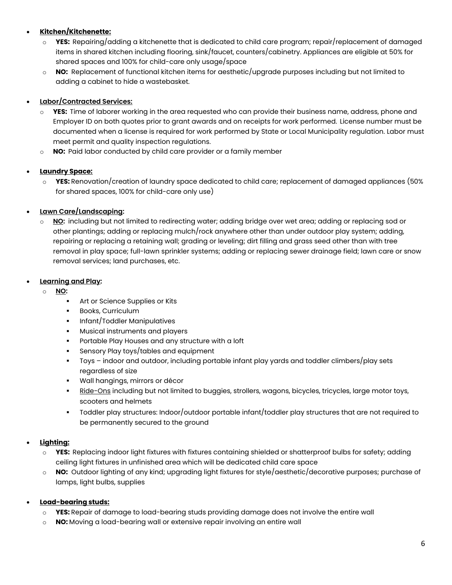# • **Kitchen/Kitchenette:**

- o **YES:** Repairing/adding a kitchenette that is dedicated to child care program; repair/replacement of damaged items in shared kitchen including flooring, sink/faucet, counters/cabinetry. Appliances are eligible at 50% for shared spaces and 100% for child-care only usage/space
- o **NO:** Replacement of functional kitchen items for aesthetic/upgrade purposes including but not limited to adding a cabinet to hide a wastebasket.

# • **Labor/Contracted Services:**

- o **YES:** Time of laborer working in the area requested who can provide their business name, address, phone and Employer ID on both quotes prior to grant awards and on receipts for work performed.License number must be documented when a license is required for work performed by State or Local Municipality regulation. Labor must meet permit and quality inspection regulations.
- o **NO:** Paid labor conducted by child care provider or a family member

### • **Laundry Space:**

o **YES:** Renovation/creation of laundry space dedicated to child care; replacement of damaged appliances (50% for shared spaces, 100% for child-care only use)

# • **Lawn Care/Landscaping:**

o **NO:** including but not limited to redirecting water; adding bridge over wet area; adding or replacing sod or other plantings; adding or replacing mulch/rock anywhere other than under outdoor play system; adding, repairing or replacing a retaining wall; grading or leveling; dirt filling and grass seed other than with tree removal in play space; full-lawn sprinkler systems; adding or replacing sewer drainage field; lawn care or snow removal services; land purchases, etc.

### • **Learning and Play:**

- o **NO:** 
	- **Art or Science Supplies or Kits**
	- **Books, Curriculum**
	- **Infant/Toddler Manipulatives**
	- **Musical instruments and players**
	- **Portable Play Houses and any structure with a loft**
	- Sensory Play toys/tables and equipment
	- Toys indoor and outdoor, including portable infant play yards and toddler climbers/play sets regardless of size
	- Wall hangings, mirrors or décor
	- Ride-Ons including but not limited to buggies, strollers, wagons, bicycles, tricycles, large motor toys, scooters and helmets
	- Toddler play structures: Indoor/outdoor portable infant/toddler play structures that are not required to be permanently secured to the ground

# • **Lighting:**

- o **YES:** Replacing indoor light fixtures with fixtures containing shielded or shatterproof bulbs for safety; adding ceiling light fixtures in unfinished area which will be dedicated child care space
- o **NO:** Outdoor lighting of any kind; upgrading light fixtures for style/aesthetic/decorative purposes; purchase of lamps, light bulbs, supplies

# • **Load-bearing studs:**

- o **YES:** Repair of damage to load-bearing studs providing damage does not involve the entire wall
- o **NO:** Moving a load-bearing wall or extensive repair involving an entire wall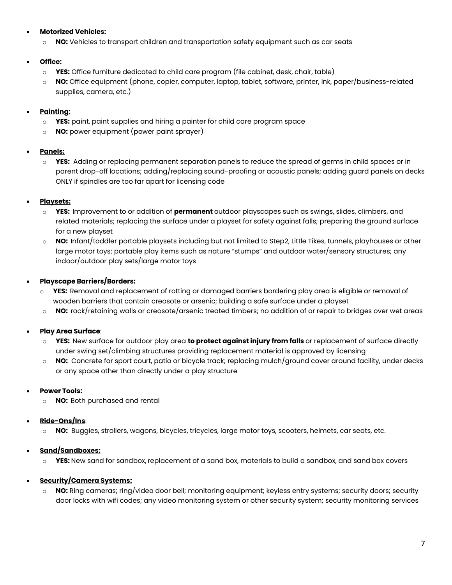### • **Motorized Vehicles:**

o **NO:** Vehicles to transport children and transportation safety equipment such as car seats

### • **Office:**

- o **YES:** Office furniture dedicated to child care program (file cabinet, desk, chair, table)
- o **NO:** Office equipment (phone, copier, computer, laptop, tablet, software, printer, ink, paper/business-related supplies, camera, etc.)

# • **Painting:**

- o **YES:** paint, paint supplies and hiring a painter for child care program space
- o **NO:** power equipment (power paint sprayer)

### • **Panels:**

o **YES:** Adding or replacing permanent separation panels to reduce the spread of germs in child spaces or in parent drop-off locations; adding/replacing sound-proofing or acoustic panels; adding guard panels on decks ONLY if spindles are too far apart for licensing code

### • **Playsets:**

- o **YES:** Improvement to or addition of **permanent** outdoor playscapes such as swings, slides, climbers, and related materials; replacing the surface under a playset for safety against falls; preparing the ground surface for a new playset
- o **NO:** Infant/toddler portable playsets including but not limited to Step2, Little Tikes, tunnels, playhouses or other large motor toys; portable play items such as nature "stumps" and outdoor water/sensory structures; any indoor/outdoor play sets/large motor toys

### • **Playscape Barriers/Borders:**

- o **YES:** Removal and replacement of rotting or damaged barriers bordering play area is eligible or removal of wooden barriers that contain creosote or arsenic; building a safe surface under a playset
- o **NO:** rock/retaining walls or creosote/arsenic treated timbers; no addition of or repair to bridges over wet areas

# • **Play Area Surface**:

- YES: New surface for outdoor play area to protect against injury from falls or replacement of surface directly under swing set/climbing structures providing replacement material is approved by licensing
- o **NO:** Concrete for sport court, patio or bicycle track; replacing mulch/ground cover around facility, under decks or any space other than directly under a play structure

### • **Power Tools:**

o **NO:** Both purchased and rental

# • **Ride-Ons/Ins**:

o **NO:** Buggies, strollers, wagons, bicycles, tricycles, large motor toys, scooters, helmets, car seats, etc.

# • **Sand/Sandboxes:**

o **YES:** New sand for sandbox, replacement of a sand box, materials to build a sandbox, and sand box covers

# • **Security/Camera Systems:**

NO: Ring cameras; ring/video door bell; monitoring equipment; keyless entry systems; security doors; security door locks with wifi codes; any video monitoring system or other security system; security monitoring services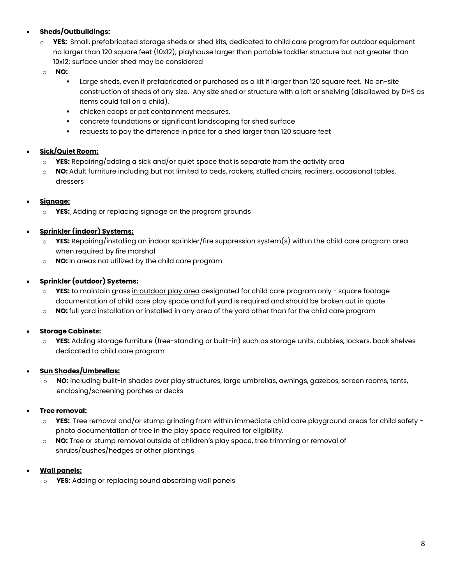# • **Sheds/Outbuildings:**

- o **YES:** Small, prefabricated storage sheds or shed kits, dedicated to child care program for outdoor equipment no larger than 120 square feet (10x12); playhouse larger than portable toddler structure but not greater than 10x12; surface under shed may be considered
- o **NO:** 
	- Large sheds, even if prefabricated or purchased as a kit if larger than 120 square feet. No on-site construction of sheds of any size. Any size shed or structure with a loft or shelving (disallowed by DHS as items could fall on a child).
	- chicken coops or pet containment measures.
	- concrete foundations or significant landscaping for shed surface
	- requests to pay the difference in price for a shed larger than 120 square feet

# • **Sick/Quiet Room:**

- **YES:** Repairing/adding a sick and/or quiet space that is separate from the activity area
- o **NO:** Adult furniture including but not limited to beds, rockers, stuffed chairs, recliners, occasional tables, dressers

# • **Signage:**

o **YES:** Adding or replacing signage on the program grounds

# • **Sprinkler (indoor) Systems:**

- o **YES:** Repairing/installing an indoor sprinkler/fire suppression system(s) within the child care program area when required by fire marshal
- o **NO:** In areas not utilized by the child care program

# • **Sprinkler (outdoor) Systems:**

- o **YES:** to maintain grass in outdoor play area designated for child care program only square footage documentation of child care play space and full yard is required and should be broken out in quote
- o **NO:** full yard installation or installed in any area of the yard other than for the child care program

# • **Storage Cabinets:**

**YES:** Adding storage furniture (free-standing or built-in) such as storage units, cubbies, lockers, book shelves dedicated to child care program

# • **Sun Shades/Umbrellas:**

NO: including built-in shades over play structures, large umbrellas, awnings, gazebos, screen rooms, tents, enclosing/screening porches or decks

# • **Tree removal:**

- o **YES:** Tree removal and/or stump grinding from within immediate child care playground areas for child safety photo documentation of tree in the play space required for eligibility.
- o **NO:** Tree or stump removal outside of children's play space, tree trimming or removal of shrubs/bushes/hedges or other plantings

# • **Wall panels:**

o **YES:** Adding or replacing sound absorbing wall panels